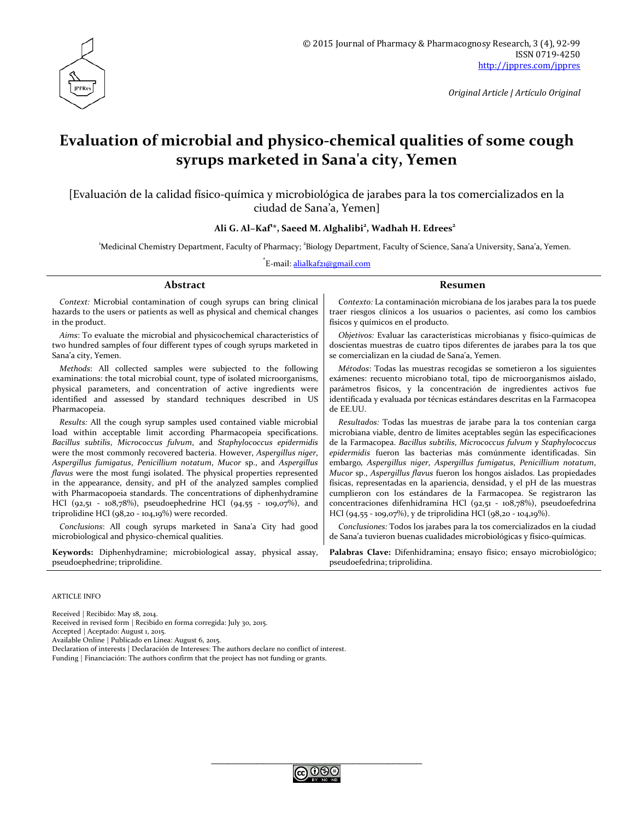

*Original Article | Artículo Original*

# **Evaluation of microbial and physico-chemical qualities of some cough syrups marketed in Sana'a city, Yemen**

[Evaluación de la calidad físico-química y microbiológica de jarabes para la tos comercializados en la ciudad de Sana'a, Yemen]

#### **Ali G. Al−Kaf<sup>1</sup> \*, Saeed M. Alghalibi<sup>2</sup> , Wadhah H. Edrees2**

'Medicinal Chemistry Department, Faculty of Pharmacy; <sup>2</sup>Biology Department, Faculty of Science, Sana'a University, Sana'a, Yemen.

\*E-mail: <u>[alialkaf21@gmail.com](mailto:alialkaf21@gmail.com)</u>

| Abstract                                                                        | Resumen                                                                        |  |  |
|---------------------------------------------------------------------------------|--------------------------------------------------------------------------------|--|--|
| Context: Microbial contamination of cough syrups can bring clinical             | Contexto: La contaminación microbiana de los jarabes para la tos puede         |  |  |
| hazards to the users or patients as well as physical and chemical changes       | traer riesgos clínicos a los usuarios o pacientes, así como los cambios        |  |  |
| in the product.                                                                 | físicos y químicos en el producto.                                             |  |  |
| Aims: To evaluate the microbial and physicochemical characteristics of          | <i>Objetivos:</i> Evaluar las características microbianas y físico-químicas de |  |  |
| two hundred samples of four different types of cough syrups marketed in         | doscientas muestras de cuatro tipos diferentes de jarabes para la tos que      |  |  |
| Sana'a city, Yemen.                                                             | se comercializan en la ciudad de Sana'a, Yemen.                                |  |  |
| Methods: All collected samples were subjected to the following                  | Métodos: Todas las muestras recogidas se sometieron a los siguientes           |  |  |
| examinations: the total microbial count, type of isolated microorganisms,       | exámenes: recuento microbiano total, tipo de microorganismos aislado,          |  |  |
| physical parameters, and concentration of active ingredients were               | parámetros físicos, y la concentración de ingredientes activos fue             |  |  |
| identified and assessed by standard techniques described in US                  | identificada y evaluada por técnicas estándares descritas en la Farmacopea     |  |  |
| Pharmacopeia.                                                                   | de EE.UU.                                                                      |  |  |
| Results: All the cough syrup samples used contained viable microbial            | Resultados: Todas las muestras de jarabe para la tos contenían carga           |  |  |
| load within acceptable limit according Pharmacopeia specifications.             | microbiana viable, dentro de límites aceptables según las especificaciones     |  |  |
| Bacillus subtilis, Micrococcus fulvum, and Staphylococcus epidermidis           | de la Farmacopea. Bacillus subtilis, Micrococcus fulvum y Staphylococcus       |  |  |
| were the most commonly recovered bacteria. However, Aspergillus niger,          | epidermidis fueron las bacterias más comúnmente identificadas. Sin             |  |  |
| Aspergillus fumigatus, Penicillium notatum, Mucor sp., and Aspergillus          | embargo, Aspergillus niger, Aspergillus fumigatus, Penicillium notatum,        |  |  |
| <i>flavus</i> were the most fungi isolated. The physical properties represented | Mucor sp., Aspergillus flavus fueron los hongos aislados. Las propiedades      |  |  |
| in the appearance, density, and pH of the analyzed samples complied             | físicas, representadas en la apariencia, densidad, y el pH de las muestras     |  |  |
| with Pharmacopoeia standards. The concentrations of diphenhydramine             | cumplieron con los estándares de la Farmacopea. Se registraron las             |  |  |
| HCl $(92,51 - 108,78%)$ , pseudoephedrine HCl $(94,55 - 109,07%)$ , and         | concentraciones difenhidramina HCl (92,51 - 108,78%), pseudoefedrina           |  |  |
| triprolidine HCl $(98,20 - 104,19\%)$ were recorded.                            | HCl $(94,55 - 109,07\%)$ , y de triprolidina HCl $(98,20 - 104,19\%)$ .        |  |  |
| Conclusions: All cough syrups marketed in Sana'a City had good                  | Conclusiones: Todos los jarabes para la tos comercializados en la ciudad       |  |  |
| microbiological and physico-chemical qualities.                                 | de Sana'a tuvieron buenas cualidades microbiológicas y físico-químicas.        |  |  |
| Keywords: Diphenhydramine; microbiological assay, physical assay,               | Palabras Clave: Difenhidramina; ensayo físico; ensayo microbiológico;          |  |  |

pseudoefedrina; triprolidina.

ARTICLE INFO

Received | Recibido: May 18, 2014.

pseudoephedrine; triprolidine.

Received in revised form | Recibido en forma corregida: July 30, 2015.

Accepted | Aceptado: August 1, 2015.

Available Online | Publicado en Línea: August 6, 2015.

Declaration of interests | Declaración de Intereses: The authors declare no conflict of interest. Funding | Financiación: The authors confirm that the project has not funding or grants.

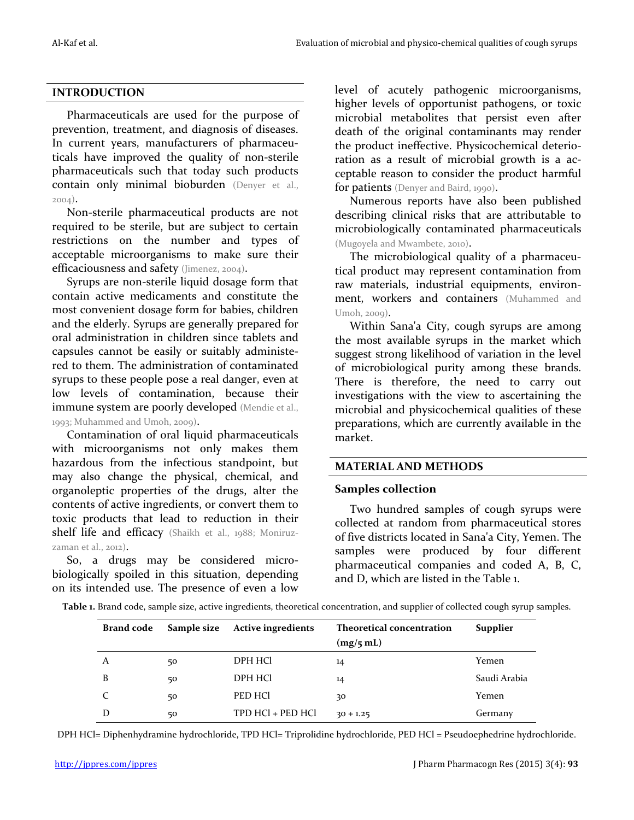## **INTRODUCTION**

Pharmaceuticals are used for the purpose of prevention, treatment, and diagnosis of diseases. In current years, manufacturers of pharmaceuticals have improved the quality of non-sterile pharmaceuticals such that today such products contain only minimal bioburden (Denyer et al., 2004).

Non-sterile pharmaceutical products are not required to be sterile, but are subject to certain restrictions on the number and types of acceptable microorganisms to make sure their efficaciousness and safety (Jimenez, 2004).

Syrups are non-sterile liquid dosage form that contain active medicaments and constitute the most convenient dosage form for babies, children and the elderly. Syrups are generally prepared for oral administration in children since tablets and capsules cannot be easily or suitably administered to them. The administration of contaminated syrups to these people pose a real danger, even at low levels of contamination, because their immune system are poorly developed (Mendie et al., 1993; Muhammed and Umoh, 2009).

Contamination of oral liquid pharmaceuticals with microorganisms not only makes them hazardous from the infectious standpoint, but may also change the physical, chemical, and organoleptic properties of the drugs, alter the contents of active ingredients, or convert them to toxic products that lead to reduction in their shelf life and efficacy (Shaikh et al., 1988; Moniruzzaman et al., 2012).

So, a drugs may be considered microbiologically spoiled in this situation, depending on its intended use. The presence of even a low level of acutely pathogenic microorganisms, higher levels of opportunist pathogens, or toxic microbial metabolites that persist even after death of the original contaminants may render the product ineffective. Physicochemical deterioration as a result of microbial growth is a acceptable reason to consider the product harmful for patients (Denyer and Baird, 1990).

Numerous reports have also been published describing clinical risks that are attributable to microbiologically contaminated pharmaceuticals (Mugoyela and Mwambete, 2010).

The microbiological quality of a pharmaceutical product may represent contamination from raw materials, industrial equipments, environment, workers and containers (Muhammed and  $Umoh. zoo<sub>0</sub>$ ).

Within Sana'a City, cough syrups are among the most available syrups in the market which suggest strong likelihood of variation in the level of microbiological purity among these brands. There is therefore, the need to carry out investigations with the view to ascertaining the microbial and physicochemical qualities of these preparations, which are currently available in the market.

## **MATERIAL AND METHODS**

#### **Samples collection**

Two hundred samples of cough syrups were collected at random from pharmaceutical stores of five districts located in Sana'a City, Yemen. The samples were produced by four different pharmaceutical companies and coded A, B, C, and D, which are listed in the Table 1.

| Brand code |    | Sample size Active ingredients | <b>Theoretical concentration</b><br>(mg/5 mL) | Supplier     |
|------------|----|--------------------------------|-----------------------------------------------|--------------|
| А          | 50 | DPH HCl                        | 14                                            | Yemen        |
| B          | 50 | DPH HCl                        | 14                                            | Saudi Arabia |
| C          | 50 | PED HCI                        | 30                                            | Yemen        |
| D          | 50 | TPD HCl + PED HCl              | $30 + 1.25$                                   | Germany      |

**Table 1.** Brand code, sample size, active ingredients, theoretical concentration, and supplier of collected cough syrup samples.

DPH HCl= Diphenhydramine hydrochloride, TPD HCl= Triprolidine hydrochloride, PED HCl = Pseudoephedrine hydrochloride.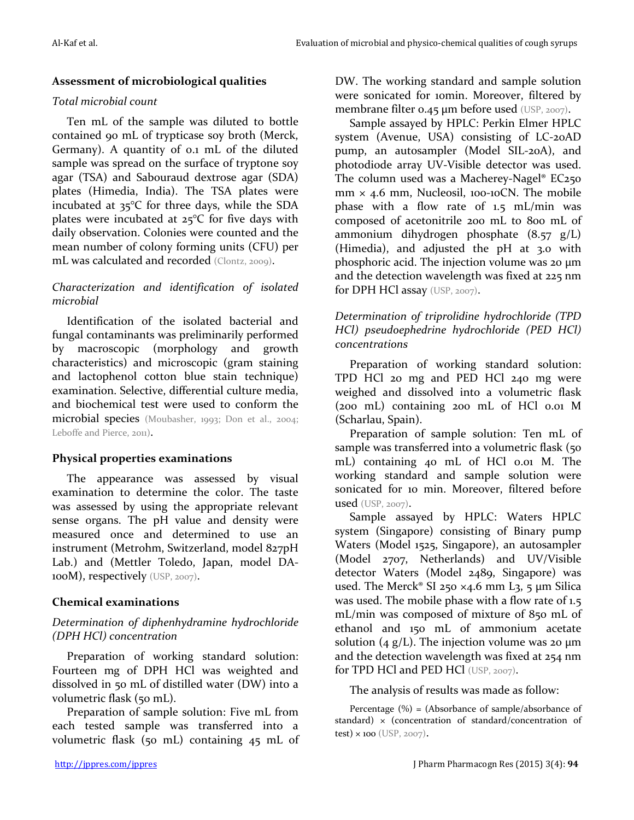## **Assessment of microbiological qualities**

#### *Total microbial count*

Ten mL of the sample was diluted to bottle contained 90 mL of trypticase soy broth (Merck, Germany). A quantity of 0.1 mL of the diluted sample was spread on the surface of tryptone soy agar (TSA) and Sabouraud dextrose agar (SDA) plates (Himedia, India). The TSA plates were incubated at 35°C for three days, while the SDA plates were incubated at 25°C for five days with daily observation. Colonies were counted and the mean number of colony forming units (CFU) per mL was calculated and recorded (Clontz, 2009).

## *Characterization and identification of isolated microbial*

Identification of the isolated bacterial and fungal contaminants was preliminarily performed by macroscopic (morphology and growth characteristics) and microscopic (gram staining and lactophenol cotton blue stain technique) examination. Selective, differential culture media, and biochemical test were used to conform the microbial species (Moubasher, 1993; Don et al., 2004; Leboffe and Pierce, 2011).

## **Physical properties examinations**

The appearance was assessed by visual examination to determine the color. The taste was assessed by using the appropriate relevant sense organs. The pH value and density were measured once and determined to use an instrument (Metrohm, Switzerland, model 827pH Lab.) and (Mettler Toledo, Japan, model DA-100M), respectively (USP, 2007).

## **Chemical examinations**

#### *Determination of diphenhydramine hydrochloride (DPH HCl) concentration*

Preparation of working standard solution: Fourteen mg of DPH HCl was weighted and dissolved in 50 mL of distilled water (DW) into a volumetric flask (50 mL).

Preparation of sample solution: Five mL from each tested sample was transferred into a volumetric flask (50 mL) containing 45 mL of

DW. The working standard and sample solution were sonicated for 10min. Moreover, filtered by membrane filter 0.45  $\mu$ m before used (USP, 2007).

Sample assayed by HPLC: Perkin Elmer HPLC system (Avenue, USA) consisting of LC-20AD pump, an autosampler (Model SIL-20A), and photodiode array UV-Visible detector was used. The column used was a Macherey-Nagel<sup>®</sup> EC<sub>250</sub>  $mm \times 4.6$  mm, Nucleosil, 100-10CN. The mobile phase with a flow rate of 1.5 mL/min was composed of acetonitrile 200 mL to 800 mL of ammonium dihydrogen phosphate (8.57 g/L) (Himedia), and adjusted the pH at 3.0 with phosphoric acid. The injection volume was 20 μm and the detection wavelength was fixed at 225 nm for DPH HCl assay (USP, 2007).

# *Determination of triprolidine hydrochloride (TPD HCl) pseudoephedrine hydrochloride (PED HCl) concentrations*

Preparation of working standard solution: TPD HCl 20 mg and PED HCl 240 mg were weighed and dissolved into a volumetric flask (200 mL) containing 200 mL of HCl 0.01 M (Scharlau, Spain).

Preparation of sample solution: Ten mL of sample was transferred into a volumetric flask (50) mL) containing 40 mL of HCl 0.01 M. The working standard and sample solution were sonicated for 10 min. Moreover, filtered before used (USP, 2007).

Sample assayed by HPLC: Waters HPLC system (Singapore) consisting of Binary pump Waters (Model 1525, Singapore), an autosampler (Model 2707, Netherlands) and UV/Visible detector Waters (Model 2489, Singapore) was used. The Merck® SI 250  $\times$ 4.6 mm L3, 5 µm Silica was used. The mobile phase with a flow rate of 1.5 mL/min was composed of mixture of 850 mL of ethanol and 150 mL of ammonium acetate solution (4 g/L). The injection volume was 20  $\mu$ m and the detection wavelength was fixed at 254 nm for TPD HCl and PED HCl (USP, 2007).

The analysis of results was made as follow:

Percentage (%) = (Absorbance of sample/absorbance of standard)  $\times$  (concentration of standard/concentration of test) × 100 (USP, 2007).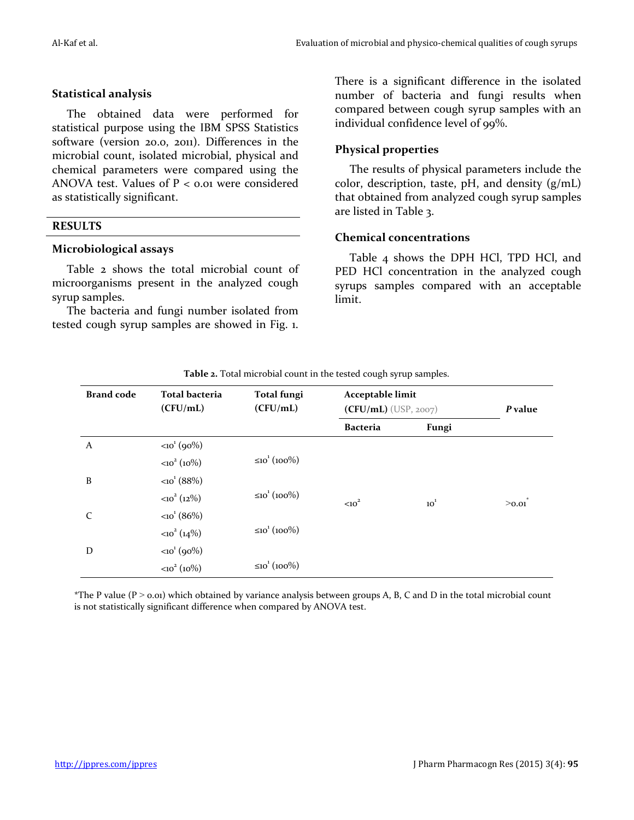#### **Statistical analysis**

The obtained data were performed for statistical purpose using the IBM SPSS Statistics software (version 20.0, 2011). Differences in the microbial count, isolated microbial, physical and chemical parameters were compared using the ANOVA test. Values of  $P < 0.01$  were considered as statistically significant.

#### **RESULTS**

#### **Microbiological assays**

Table 2 shows the total microbial count of microorganisms present in the analyzed cough syrup samples.

The bacteria and fungi number isolated from tested cough syrup samples are showed in Fig. 1.

There is a significant difference in the isolated number of bacteria and fungi results when compared between cough syrup samples with an individual confidence level of 99%.

## **Physical properties**

The results of physical parameters include the color, description, taste, pH, and density (g/mL) that obtained from analyzed cough syrup samples are listed in Table 3.

#### **Chemical concentrations**

Table 4 shows the DPH HCl, TPD HCl, and PED HCl concentration in the analyzed cough syrups samples compared with an acceptable limit.

| <b>Brand code</b> | <b>Total bacteria</b><br>(CFU/mL) | <b>Total fungi</b><br>(CFU/mL) | Acceptable limit<br>$(CFU/mL)$ (USP, 2007) |          | P value |
|-------------------|-----------------------------------|--------------------------------|--------------------------------------------|----------|---------|
|                   |                                   |                                | <b>Bacteria</b>                            | Fungi    |         |
| A                 | $\langle 10^{1} (90\%)$           |                                |                                            |          |         |
|                   | $<10^2 (10\%)$                    | ≤10 <sup>1</sup> (100%)        |                                            |          |         |
| B                 | $<10^{1}$ (88%)                   |                                |                                            |          |         |
|                   | $<10^2$ (12%)                     | $≤10^{1}(100%)$                | $<10^2$                                    | $10^{1}$ | >0.01   |
| C                 | $<10^{1}$ (86%)                   |                                |                                            |          |         |
|                   | $\langle 10^2 (14\%)$             | ≤10 <sup>1</sup> (100%)        |                                            |          |         |
| D                 | $\langle 10^{1} (90\%)$           |                                |                                            |          |         |
|                   | $<10^2 (10\%)$                    | $≤10^{1}(100%)$                |                                            |          |         |

**Table 2.** Total microbial count in the tested cough syrup samples.

\*The P value ( $P > 0.01$ ) which obtained by variance analysis between groups A, B, C and D in the total microbial count is not statistically significant difference when compared by ANOVA test.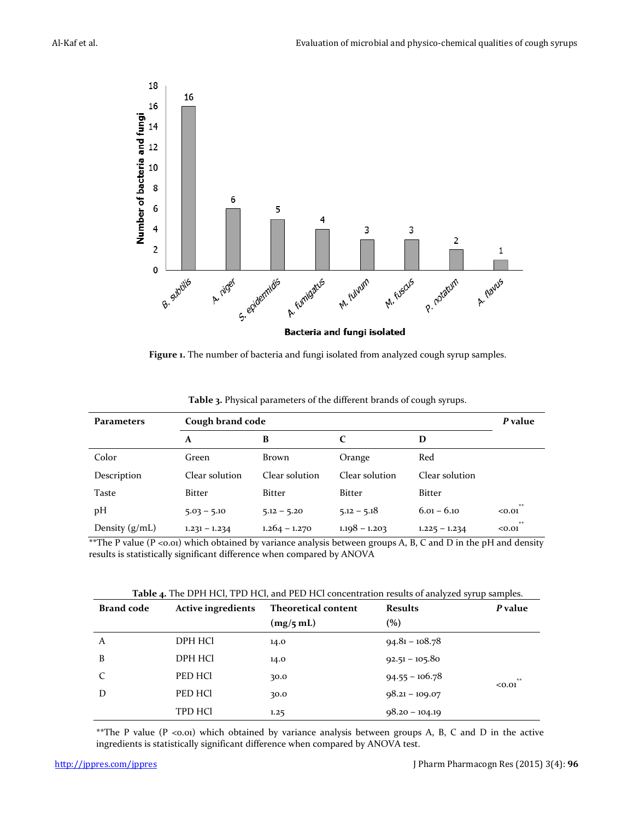

**Figure 1.** The number of bacteria and fungi isolated from analyzed cough syrup samples.

| Parameters       | Cough brand code |                 |                             |                 | P value      |
|------------------|------------------|-----------------|-----------------------------|-----------------|--------------|
|                  | A                | B               | $\mathcal{C}_{\mathcal{C}}$ | D               |              |
| Color            | Green            | Brown           | Orange                      | Red             |              |
| Description      | Clear solution   | Clear solution  | Clear solution              | Clear solution  |              |
| Taste            | Bitter           | <b>Bitter</b>   | <b>Bitter</b>               | <b>Bitter</b>   |              |
| pH               | $5.03 - 5.10$    | $5.12 - 5.20$   | $5.12 - 5.18$               | $6.01 - 6.10$   | **<br>< 0.01 |
| Density $(g/mL)$ | $1.231 - 1.234$  | $1.264 - 1.270$ | $1.198 - 1.203$             | $1.225 - 1.234$ | **<br>< 0.01 |

**Table 3.** Physical parameters of the different brands of cough syrups.

\*\*The P value (P <0.01) which obtained by variance analysis between groups A, B, C and D in the pH and density results is statistically significant difference when compared by ANOVA

**Table 4.** The DPH HCl, TPD HCl, and PED HCl concentration results of analyzed syrup samples.

| <b>Brand code</b> | <b>Active ingredients</b> | <b>Theoretical content</b><br><b>Results</b> |                  | P value        |
|-------------------|---------------------------|----------------------------------------------|------------------|----------------|
|                   |                           | (mg/5 mL)                                    | (%)              |                |
| A                 | DPH HCI                   | 14.0                                         | $94.81 - 108.78$ |                |
| B                 | DPH HCl                   | 14.0                                         | $92.51 - 105.80$ |                |
| C                 | PED HCl                   | 30.0                                         | $94.55 - 106.78$ | $**$<br>< 0.01 |
| D                 | PED HCl                   | 30.0                                         | $98.21 - 109.07$ |                |
|                   | <b>TPD HCI</b>            | 1.25                                         | $98.20 - 104.19$ |                |

\*\*The P value (P <0.01) which obtained by variance analysis between groups A, B, C and D in the active ingredients is statistically significant difference when compared by ANOVA test.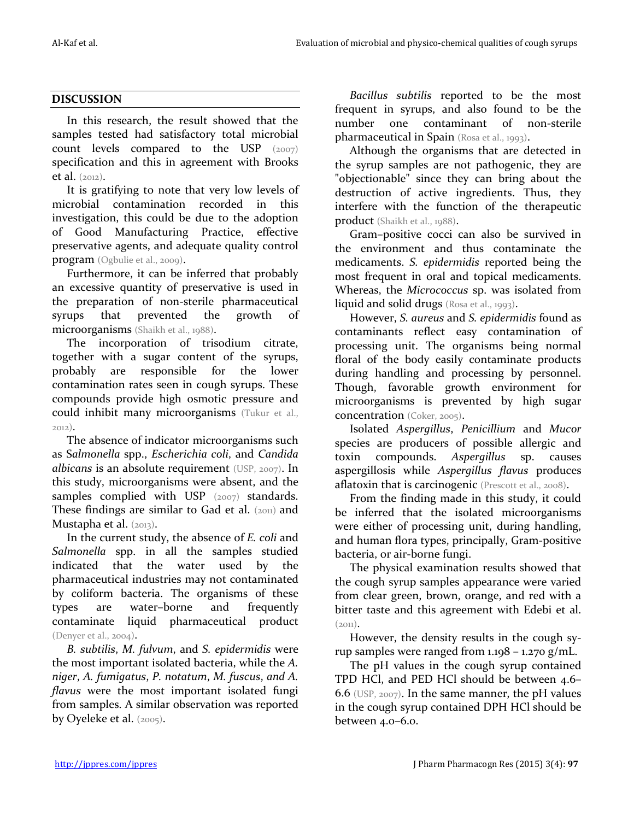#### **DISCUSSION**

In this research, the result showed that the samples tested had satisfactory total microbial count levels compared to the USP (2007) specification and this in agreement with Brooks et al. (2012).

It is gratifying to note that very low levels of microbial contamination recorded in this investigation, this could be due to the adoption of Good Manufacturing Practice, effective preservative agents, and adequate quality control program (Ogbulie et al., 2009).

Furthermore, it can be inferred that probably an excessive quantity of preservative is used in the preparation of non-sterile pharmaceutical syrups that prevented the growth of microorganisms (Shaikh et al., 1988).

The incorporation of trisodium citrate, together with a sugar content of the syrups, probably are responsible for the lower contamination rates seen in cough syrups. These compounds provide high osmotic pressure and could inhibit many microorganisms (Tukur et al., 2012).

The absence of indicator microorganisms such as S*almonella* spp., *Escherichia coli*, and *Candida albicans* is an absolute requirement (USP, 2007). In this study, microorganisms were absent, and the samples complied with USP (2007) standards. These findings are similar to Gad et al. (2011) and Mustapha et al. (2013).

In the current study, the absence of *E. coli* and *Salmonella* spp. in all the samples studied indicated that the water used by the pharmaceutical industries may not contaminated by coliform bacteria. The organisms of these types are water–borne and frequently contaminate liquid pharmaceutical product (Denyer et al., 2004).

*B. subtilis*, *M. fulvum*, and *S. epidermidis* were the most important isolated bacteria, while the *A. niger*, *A. fumigatus*, *P. notatum*, *M. fuscus*, *and A. flavus* were the most important isolated fungi from samples. A similar observation was reported by Oyeleke et al. (2005).

*Bacillus subtilis* reported to be the most frequent in syrups, and also found to be the number one contaminant of non-sterile pharmaceutical in Spain (Rosa et al., 1993).

Although the organisms that are detected in the syrup samples are not pathogenic, they are "objectionable" since they can bring about the destruction of active ingredients. Thus, they interfere with the function of the therapeutic product (Shaikh et al., 1988).

Gram–positive cocci can also be survived in the environment and thus contaminate the medicaments. *S. epidermidis* reported being the most frequent in oral and topical medicaments. Whereas, the *Micrococcus* sp. was isolated from liquid and solid drugs (Rosa et al., 1993).

However, *S. aureus* and *S. epidermidis* found as contaminants reflect easy contamination of processing unit. The organisms being normal floral of the body easily contaminate products during handling and processing by personnel. Though, favorable growth environment for microorganisms is prevented by high sugar concentration (Coker, 2005).

Isolated *Aspergillus*, *Penicillium* and *Mucor* species are producers of possible allergic and toxin compounds. *Aspergillus* sp. causes aspergillosis while *Aspergillus flavus* produces aflatoxin that is carcinogenic (Prescott et al., 2008).

From the finding made in this study, it could be inferred that the isolated microorganisms were either of processing unit, during handling, and human flora types, principally, Gram-positive bacteria, or air-borne fungi.

The physical examination results showed that the cough syrup samples appearance were varied from clear green, brown, orange, and red with a bitter taste and this agreement with Edebi et al.  $(2.011)$ .

However, the density results in the cough syrup samples were ranged from 1.198 – 1.270 g/mL.

The pH values in the cough syrup contained TPD HCl, and PED HCl should be between 4.6– 6.6 (USP, 2007). In the same manner, the pH values in the cough syrup contained DPH HCl should be between 4.0–6.0.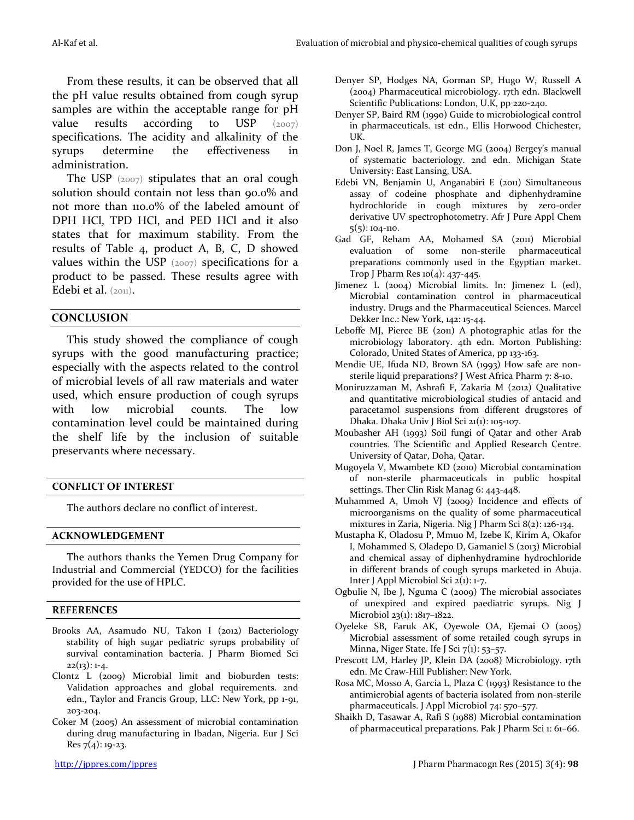From these results, it can be observed that all the pH value results obtained from cough syrup samples are within the acceptable range for pH value results according to USP  $(2007)$ specifications. The acidity and alkalinity of the syrups determine the effectiveness in administration.

The USP  $(2007)$  stipulates that an oral cough solution should contain not less than 90.0% and not more than 110.0% of the labeled amount of DPH HCl, TPD HCl, and PED HCl and it also states that for maximum stability. From the results of Table 4, product A, B, C, D showed values within the USP (2007) specifications for a product to be passed. These results agree with Edebi et al.  $(201)$ .

#### **CONCLUSION**

This study showed the compliance of cough syrups with the good manufacturing practice; especially with the aspects related to the control of microbial levels of all raw materials and water used, which ensure production of cough syrups with low microbial counts. The low contamination level could be maintained during the shelf life by the inclusion of suitable preservants where necessary.

#### **CONFLICT OF INTEREST**

The authors declare no conflict of interest.

#### **ACKNOWLEDGEMENT**

The authors thanks the Yemen Drug Company for Industrial and Commercial (YEDCO) for the facilities provided for the use of HPLC.

#### **REFERENCES**

- Brooks AA, Asamudo NU, Takon I (2012) Bacteriology stability of high sugar pediatric syrups probability of survival contamination bacteria. J Pharm Biomed Sci  $22(13): 1-4.$
- Clontz L (2009) Microbial limit and bioburden tests: Validation approaches and global requirements. 2nd edn., Taylor and Francis Group, LLC: New York, pp 1-91, 203-204.
- Coker M (2005) An assessment of microbial contamination during drug manufacturing in Ibadan, Nigeria. Eur J Sci Res 7(4): 19-23.
- Denyer SP, Hodges NA, Gorman SP, Hugo W, Russell A (2004) Pharmaceutical microbiology. 17th edn. Blackwell Scientific Publications: London, U.K, pp 220-240.
- Denyer SP, Baird RM (1990) Guide to microbiological control in pharmaceuticals. 1st edn., Ellis Horwood Chichester, UK.
- Don J, Noel R, James T, George MG (2004) Bergey's manual of systematic bacteriology. 2nd edn. Michigan State University: East Lansing, USA.
- Edebi VN, Benjamin U, Anganabiri E (2011) Simultaneous assay of codeine phosphate and diphenhydramine hydrochloride in cough mixtures by zero-order derivative UV spectrophotometry. Afr J Pure Appl Chem 5(5): 104-110.
- Gad GF, Reham AA, Mohamed SA (2011) Microbial evaluation of some non-sterile pharmaceutical preparations commonly used in the Egyptian market. Trop J Pharm Res  $10(4)$ : 437-445.
- Jimenez L (2004) Microbial limits. In: Jimenez L (ed), Microbial contamination control in pharmaceutical industry. Drugs and the Pharmaceutical Sciences. Marcel Dekker Inc.: New York, 142: 15-44.
- Leboffe MJ, Pierce BE (2011) A photographic atlas for the microbiology laboratory. 4th edn. Morton Publishing: Colorado, United States of America, pp 133-163.
- Mendie UE, Ifuda ND, Brown SA (1993) How safe are nonsterile liquid preparations? J West Africa Pharm 7: 8-10.
- Moniruzzaman M, Ashrafi F, Zakaria M (2012) Qualitative and quantitative microbiological studies of antacid and paracetamol suspensions from different drugstores of Dhaka. Dhaka Univ J Biol Sci 21(1): 105-107.
- Moubasher AH (1993) Soil fungi of Qatar and other Arab countries. The Scientific and Applied Research Centre. University of Qatar, Doha, Qatar.
- Mugoyela V, Mwambete KD (2010) Microbial contamination of non-sterile pharmaceuticals in public hospital settings. Ther Clin Risk Manag 6: 443-448.
- Muhammed A, Umoh VJ (2009) Incidence and effects of microorganisms on the quality of some pharmaceutical mixtures in Zaria, Nigeria. Nig J Pharm Sci 8(2): 126-134.
- Mustapha K, Oladosu P, Mmuo M, Izebe K, Kirim A, Okafor I, Mohammed S, Oladepo D, Gamaniel S (2013) Microbial and chemical assay of diphenhydramine hydrochloride in different brands of cough syrups marketed in Abuja. Inter J Appl Microbiol Sci 2(1): 1-7.
- Ogbulie N, Ibe J, Nguma C (2009) The microbial associates of unexpired and expired paediatric syrups. Nig J Microbiol 23(1): 1817–1822.
- Oyeleke SB, Faruk AK, Oyewole OA, Ejemai O (2005) Microbial assessment of some retailed cough syrups in Minna, Niger State. Ife J Sci  $7(1)$ : 53-57.
- Prescott LM, Harley JP, Klein DA (2008) Microbiology. 17th edn. Mc Craw-Hill Publisher: New York.
- Rosa MC, Mosso A, Garcia L, Plaza C (1993) Resistance to the antimicrobial agents of bacteria isolated from non-sterile pharmaceuticals. J Appl Microbiol 74: 570–577.
- Shaikh D, Tasawar A, Rafi S (1988) Microbial contamination of pharmaceutical preparations. Pak J Pharm Sci 1: 61–66.